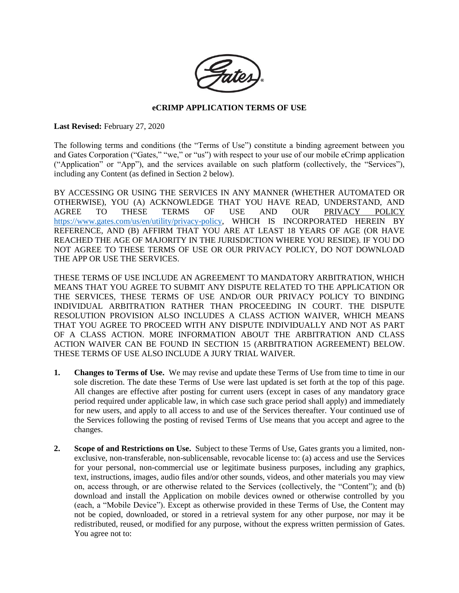

### **eCRIMP APPLICATION TERMS OF USE**

**Last Revised:** February 27, 2020

The following terms and conditions (the "Terms of Use") constitute a binding agreement between you and Gates Corporation ("Gates," "we," or "us") with respect to your use of our mobile eCrimp application ("Application" or "App"), and the services available on such platform (collectively, the "Services"), including any Content (as defined in Section [2](#page-0-0) below).

BY ACCESSING OR USING THE SERVICES IN ANY MANNER (WHETHER AUTOMATED OR OTHERWISE), YOU (A) ACKNOWLEDGE THAT YOU HAVE READ, UNDERSTAND, AND AGREE TO THESE TERMS OF USE AND OUR PRIVACY POLICY [https://www.gates.com/us/en/utility/privacy-policy,](https://www.gates.com/us/en/utility/privacy-policy) WHICH IS INCORPORATED HEREIN BY REFERENCE, AND (B) AFFIRM THAT YOU ARE AT LEAST 18 YEARS OF AGE (OR HAVE REACHED THE AGE OF MAJORITY IN THE JURISDICTION WHERE YOU RESIDE). IF YOU DO NOT AGREE TO THESE TERMS OF USE OR OUR PRIVACY POLICY, DO NOT DOWNLOAD THE APP OR USE THE SERVICES.

THESE TERMS OF USE INCLUDE AN AGREEMENT TO MANDATORY ARBITRATION, WHICH MEANS THAT YOU AGREE TO SUBMIT ANY DISPUTE RELATED TO THE APPLICATION OR THE SERVICES, THESE TERMS OF USE AND/OR OUR PRIVACY POLICY TO BINDING INDIVIDUAL ARBITRATION RATHER THAN PROCEEDING IN COURT. THE DISPUTE RESOLUTION PROVISION ALSO INCLUDES A CLASS ACTION WAIVER, WHICH MEANS THAT YOU AGREE TO PROCEED WITH ANY DISPUTE INDIVIDUALLY AND NOT AS PART OF A CLASS ACTION. MORE INFORMATION ABOUT THE ARBITRATION AND CLASS ACTION WAIVER CAN BE FOUND IN SECTION 15 (ARBITRATION AGREEMENT) BELOW. THESE TERMS OF USE ALSO INCLUDE A JURY TRIAL WAIVER.

- **1. Changes to Terms of Use.** We may revise and update these Terms of Use from time to time in our sole discretion. The date these Terms of Use were last updated is set forth at the top of this page. All changes are effective after posting for current users (except in cases of any mandatory grace period required under applicable law, in which case such grace period shall apply) and immediately for new users, and apply to all access to and use of the Services thereafter. Your continued use of the Services following the posting of revised Terms of Use means that you accept and agree to the changes.
- <span id="page-0-0"></span>**2. Scope of and Restrictions on Use.** Subject to these Terms of Use, Gates grants you a limited, nonexclusive, non-transferable, non-sublicensable, revocable license to: (a) access and use the Services for your personal, non-commercial use or legitimate business purposes, including any graphics, text, instructions, images, audio files and/or other sounds, videos, and other materials you may view on, access through, or are otherwise related to the Services (collectively, the "Content"); and (b) download and install the Application on mobile devices owned or otherwise controlled by you (each, a "Mobile Device"). Except as otherwise provided in these Terms of Use, the Content may not be copied, downloaded, or stored in a retrieval system for any other purpose, nor may it be redistributed, reused, or modified for any purpose, without the express written permission of Gates. You agree not to: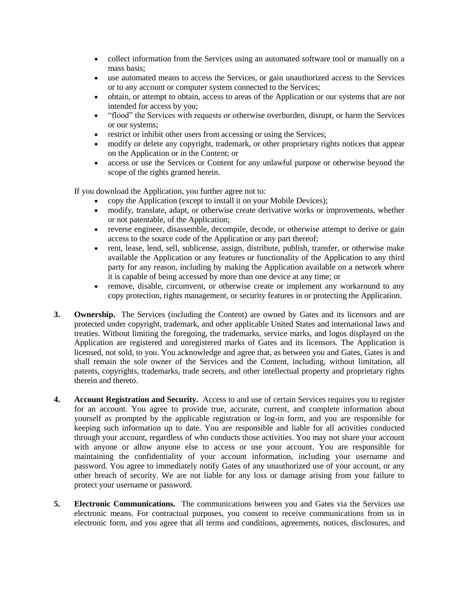- collect information from the Services using an automated software tool or manually on a mass basis;
- use automated means to access the Services, or gain unauthorized access to the Services or to any account or computer system connected to the Services;
- obtain, or attempt to obtain, access to areas of the Application or our systems that are not intended for access by you;
- "flood" the Services with requests or otherwise overburden, disrupt, or harm the Services or our systems;
- restrict or inhibit other users from accessing or using the Services;
- modify or delete any copyright, trademark, or other proprietary rights notices that appear on the Application or in the Content; or
- access or use the Services or Content for any unlawful purpose or otherwise beyond the scope of the rights granted herein.

If you download the Application, you further agree not to:

- copy the Application (except to install it on your Mobile Devices);
- modify, translate, adapt, or otherwise create derivative works or improvements, whether or not patentable, of the Application;
- reverse engineer, disassemble, decompile, decode, or otherwise attempt to derive or gain access to the source code of the Application or any part thereof;
- rent, lease, lend, sell, sublicense, assign, distribute, publish, transfer, or otherwise make available the Application or any features or functionality of the Application to any third party for any reason, including by making the Application available on a network where it is capable of being accessed by more than one device at any time; or
- remove, disable, circumvent, or otherwise create or implement any workaround to any copy protection, rights management, or security features in or protecting the Application.
- **3. Ownership.** The Services (including the Content) are owned by Gates and its licensors and are protected under copyright, trademark, and other applicable United States and international laws and treaties. Without limiting the foregoing, the trademarks, service marks, and logos displayed on the Application are registered and unregistered marks of Gates and its licensors. The Application is licensed, not sold, to you. You acknowledge and agree that, as between you and Gates, Gates is and shall remain the sole owner of the Services and the Content, including, without limitation, all patents, copyrights, trademarks, trade secrets, and other intellectual property and proprietary rights therein and thereto.
- **4. Account Registration and Security.** Access to and use of certain Services requires you to register for an account. You agree to provide true, accurate, current, and complete information about yourself as prompted by the applicable registration or log-in form, and you are responsible for keeping such information up to date. You are responsible and liable for all activities conducted through your account, regardless of who conducts those activities. You may not share your account with anyone or allow anyone else to access or use your account. You are responsible for maintaining the confidentiality of your account information, including your username and password. You agree to immediately notify Gates of any unauthorized use of your account, or any other breach of security. We are not liable for any loss or damage arising from your failure to protect your username or password.
- **5. Electronic Communications.** The communications between you and Gates via the Services use electronic means. For contractual purposes, you consent to receive communications from us in electronic form, and you agree that all terms and conditions, agreements, notices, disclosures, and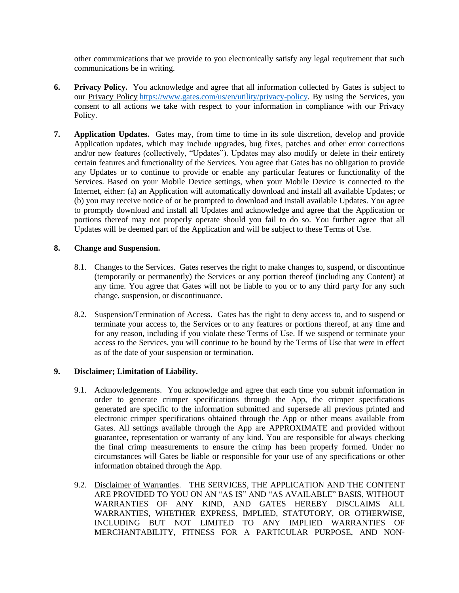other communications that we provide to you electronically satisfy any legal requirement that such communications be in writing.

- **6. Privacy Policy.** You acknowledge and agree that all information collected by Gates is subject to our Privacy Policy [https://www.gates.com/us/en/utility/privacy-policy.](https://www.gates.com/us/en/utility/privacy-policy) By using the Services, you consent to all actions we take with respect to your information in compliance with our Privacy Policy.
- **7. Application Updates.** Gates may, from time to time in its sole discretion, develop and provide Application updates, which may include upgrades, bug fixes, patches and other error corrections and/or new features (collectively, "Updates"). Updates may also modify or delete in their entirety certain features and functionality of the Services. You agree that Gates has no obligation to provide any Updates or to continue to provide or enable any particular features or functionality of the Services. Based on your Mobile Device settings, when your Mobile Device is connected to the Internet, either: (a) an Application will automatically download and install all available Updates; or (b) you may receive notice of or be prompted to download and install available Updates. You agree to promptly download and install all Updates and acknowledge and agree that the Application or portions thereof may not properly operate should you fail to do so. You further agree that all Updates will be deemed part of the Application and will be subject to these Terms of Use.

## **8. Change and Suspension.**

- 8.1. Changes to the Services. Gates reserves the right to make changes to, suspend, or discontinue (temporarily or permanently) the Services or any portion thereof (including any Content) at any time. You agree that Gates will not be liable to you or to any third party for any such change, suspension, or discontinuance.
- 8.2. Suspension/Termination of Access. Gates has the right to deny access to, and to suspend or terminate your access to, the Services or to any features or portions thereof, at any time and for any reason, including if you violate these Terms of Use. If we suspend or terminate your access to the Services, you will continue to be bound by the Terms of Use that were in effect as of the date of your suspension or termination.

# <span id="page-2-0"></span>**9. Disclaimer; Limitation of Liability.**

- 9.1. Acknowledgements. You acknowledge and agree that each time you submit information in order to generate crimper specifications through the App, the crimper specifications generated are specific to the information submitted and supersede all previous printed and electronic crimper specifications obtained through the App or other means available from Gates. All settings available through the App are APPROXIMATE and provided without guarantee, representation or warranty of any kind. You are responsible for always checking the final crimp measurements to ensure the crimp has been properly formed. Under no circumstances will Gates be liable or responsible for your use of any specifications or other information obtained through the App.
- <span id="page-2-1"></span>9.2. Disclaimer of Warranties. THE SERVICES, THE APPLICATION AND THE CONTENT ARE PROVIDED TO YOU ON AN "AS IS" AND "AS AVAILABLE" BASIS, WITHOUT WARRANTIES OF ANY KIND, AND GATES HEREBY DISCLAIMS ALL WARRANTIES, WHETHER EXPRESS, IMPLIED, STATUTORY, OR OTHERWISE, INCLUDING BUT NOT LIMITED TO ANY IMPLIED WARRANTIES OF MERCHANTABILITY, FITNESS FOR A PARTICULAR PURPOSE, AND NON-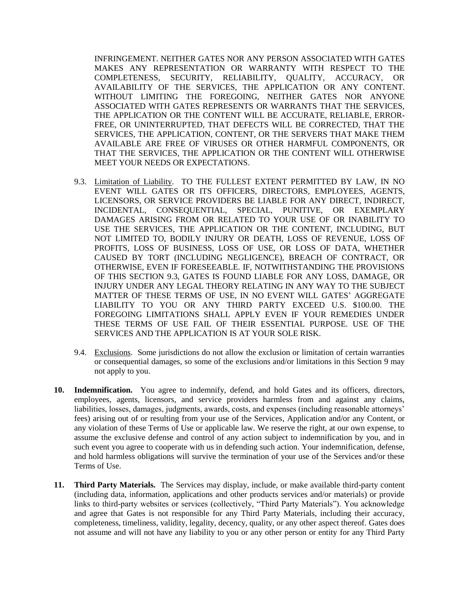INFRINGEMENT. NEITHER GATES NOR ANY PERSON ASSOCIATED WITH GATES MAKES ANY REPRESENTATION OR WARRANTY WITH RESPECT TO THE COMPLETENESS, SECURITY, RELIABILITY, QUALITY, ACCURACY, OR AVAILABILITY OF THE SERVICES, THE APPLICATION OR ANY CONTENT. WITHOUT LIMITING THE FOREGOING, NEITHER GATES NOR ANYONE ASSOCIATED WITH GATES REPRESENTS OR WARRANTS THAT THE SERVICES, THE APPLICATION OR THE CONTENT WILL BE ACCURATE, RELIABLE, ERROR-FREE, OR UNINTERRUPTED, THAT DEFECTS WILL BE CORRECTED, THAT THE SERVICES, THE APPLICATION, CONTENT, OR THE SERVERS THAT MAKE THEM AVAILABLE ARE FREE OF VIRUSES OR OTHER HARMFUL COMPONENTS, OR THAT THE SERVICES, THE APPLICATION OR THE CONTENT WILL OTHERWISE MEET YOUR NEEDS OR EXPECTATIONS.

- 9.3. Limitation of Liability. TO THE FULLEST EXTENT PERMITTED BY LAW, IN NO EVENT WILL GATES OR ITS OFFICERS, DIRECTORS, EMPLOYEES, AGENTS, LICENSORS, OR SERVICE PROVIDERS BE LIABLE FOR ANY DIRECT, INDIRECT, INCIDENTAL, CONSEQUENTIAL, SPECIAL, PUNITIVE, OR EXEMPLARY DAMAGES ARISING FROM OR RELATED TO YOUR USE OF OR INABILITY TO USE THE SERVICES, THE APPLICATION OR THE CONTENT, INCLUDING, BUT NOT LIMITED TO, BODILY INJURY OR DEATH, LOSS OF REVENUE, LOSS OF PROFITS, LOSS OF BUSINESS, LOSS OF USE, OR LOSS OF DATA, WHETHER CAUSED BY TORT (INCLUDING NEGLIGENCE), BREACH OF CONTRACT, OR OTHERWISE, EVEN IF FORESEEABLE. IF, NOTWITHSTANDING THE PROVISIONS OF THIS SECTION 9.3, GATES IS FOUND LIABLE FOR ANY LOSS, DAMAGE, OR INJURY UNDER ANY LEGAL THEORY RELATING IN ANY WAY TO THE SUBJECT MATTER OF THESE TERMS OF USE, IN NO EVENT WILL GATES' AGGREGATE LIABILITY TO YOU OR ANY THIRD PARTY EXCEED U.S. \$100.00. THE FOREGOING LIMITATIONS SHALL APPLY EVEN IF YOUR REMEDIES UNDER THESE TERMS OF USE FAIL OF THEIR ESSENTIAL PURPOSE. USE OF THE SERVICES AND THE APPLICATION IS AT YOUR SOLE RISK.
- 9.4. Exclusions. Some jurisdictions do not allow the exclusion or limitation of certain warranties or consequential damages, so some of the exclusions and/or limitations in this Section [9](#page-2-0) may not apply to you.
- **10. Indemnification.** You agree to indemnify, defend, and hold Gates and its officers, directors, employees, agents, licensors, and service providers harmless from and against any claims, liabilities, losses, damages, judgments, awards, costs, and expenses (including reasonable attorneys' fees) arising out of or resulting from your use of the Services, Application and/or any Content, or any violation of these Terms of Use or applicable law. We reserve the right, at our own expense, to assume the exclusive defense and control of any action subject to indemnification by you, and in such event you agree to cooperate with us in defending such action. Your indemnification, defense, and hold harmless obligations will survive the termination of your use of the Services and/or these Terms of Use.
- **11. Third Party Materials.** The Services may display, include, or make available third-party content (including data, information, applications and other products services and/or materials) or provide links to third-party websites or services (collectively, "Third Party Materials"). You acknowledge and agree that Gates is not responsible for any Third Party Materials, including their accuracy, completeness, timeliness, validity, legality, decency, quality, or any other aspect thereof. Gates does not assume and will not have any liability to you or any other person or entity for any Third Party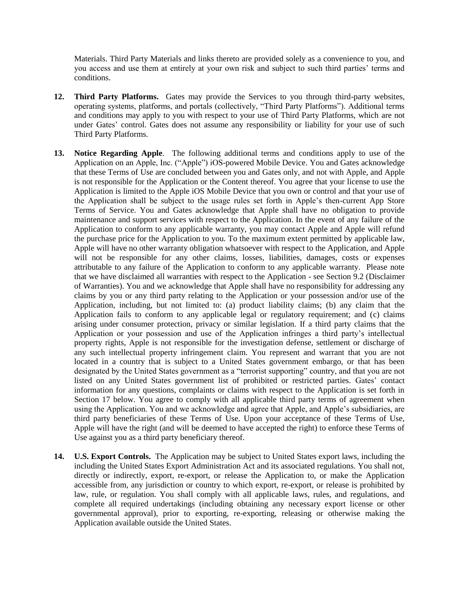Materials. Third Party Materials and links thereto are provided solely as a convenience to you, and you access and use them at entirely at your own risk and subject to such third parties' terms and conditions.

- **12. Third Party Platforms.** Gates may provide the Services to you through third-party websites, operating systems, platforms, and portals (collectively, "Third Party Platforms"). Additional terms and conditions may apply to you with respect to your use of Third Party Platforms, which are not under Gates' control. Gates does not assume any responsibility or liability for your use of such Third Party Platforms.
- **13. Notice Regarding Apple**. The following additional terms and conditions apply to use of the Application on an Apple, Inc. ("Apple") iOS-powered Mobile Device. You and Gates acknowledge that these Terms of Use are concluded between you and Gates only, and not with Apple, and Apple is not responsible for the Application or the Content thereof. You agree that your license to use the Application is limited to the Apple iOS Mobile Device that you own or control and that your use of the Application shall be subject to the usage rules set forth in Apple's then-current App Store Terms of Service. You and Gates acknowledge that Apple shall have no obligation to provide maintenance and support services with respect to the Application. In the event of any failure of the Application to conform to any applicable warranty, you may contact Apple and Apple will refund the purchase price for the Application to you. To the maximum extent permitted by applicable law, Apple will have no other warranty obligation whatsoever with respect to the Application, and Apple will not be responsible for any other claims, losses, liabilities, damages, costs or expenses attributable to any failure of the Application to conform to any applicable warranty. Please note that we have disclaimed all warranties with respect to the Application - see Section [9.2](#page-2-1) (Disclaimer of Warranties). You and we acknowledge that Apple shall have no responsibility for addressing any claims by you or any third party relating to the Application or your possession and/or use of the Application, including, but not limited to: (a) product liability claims; (b) any claim that the Application fails to conform to any applicable legal or regulatory requirement; and (c) claims arising under consumer protection, privacy or similar legislation. If a third party claims that the Application or your possession and use of the Application infringes a third party's intellectual property rights, Apple is not responsible for the investigation defense, settlement or discharge of any such intellectual property infringement claim. You represent and warrant that you are not located in a country that is subject to a United States government embargo, or that has been designated by the United States government as a "terrorist supporting" country, and that you are not listed on any United States government list of prohibited or restricted parties. Gates' contact information for any questions, complaints or claims with respect to the Application is set forth in Section [17](#page-7-0) below. You agree to comply with all applicable third party terms of agreement when using the Application. You and we acknowledge and agree that Apple, and Apple's subsidiaries, are third party beneficiaries of these Terms of Use. Upon your acceptance of these Terms of Use, Apple will have the right (and will be deemed to have accepted the right) to enforce these Terms of Use against you as a third party beneficiary thereof.
- **14. U.S. Export Controls.** The Application may be subject to United States export laws, including the including the United States Export Administration Act and its associated regulations. You shall not, directly or indirectly, export, re-export, or release the Application to, or make the Application accessible from, any jurisdiction or country to which export, re-export, or release is prohibited by law, rule, or regulation. You shall comply with all applicable laws, rules, and regulations, and complete all required undertakings (including obtaining any necessary export license or other governmental approval), prior to exporting, re-exporting, releasing or otherwise making the Application available outside the United States.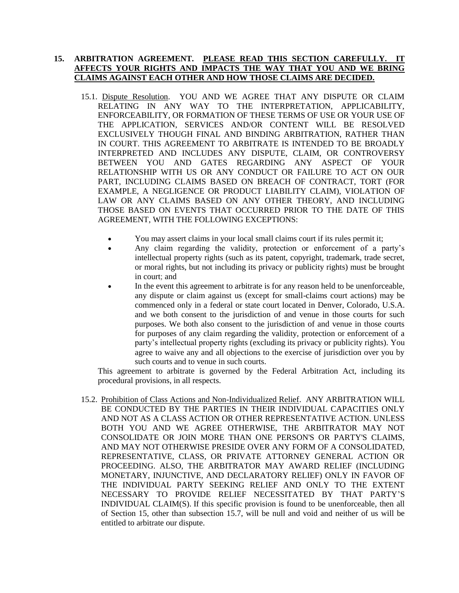## <span id="page-5-0"></span>**15. ARBITRATION AGREEMENT. PLEASE READ THIS SECTION CAREFULLY. IT AFFECTS YOUR RIGHTS AND IMPACTS THE WAY THAT YOU AND WE BRING CLAIMS AGAINST EACH OTHER AND HOW THOSE CLAIMS ARE DECIDED.**

- 15.1. Dispute Resolution. YOU AND WE AGREE THAT ANY DISPUTE OR CLAIM RELATING IN ANY WAY TO THE INTERPRETATION, APPLICABILITY, ENFORCEABILITY, OR FORMATION OF THESE TERMS OF USE OR YOUR USE OF THE APPLICATION, SERVICES AND/OR CONTENT WILL BE RESOLVED EXCLUSIVELY THOUGH FINAL AND BINDING ARBITRATION, RATHER THAN IN COURT. THIS AGREEMENT TO ARBITRATE IS INTENDED TO BE BROADLY INTERPRETED AND INCLUDES ANY DISPUTE, CLAIM, OR CONTROVERSY BETWEEN YOU AND GATES REGARDING ANY ASPECT OF YOUR RELATIONSHIP WITH US OR ANY CONDUCT OR FAILURE TO ACT ON OUR PART, INCLUDING CLAIMS BASED ON BREACH OF CONTRACT, TORT (FOR EXAMPLE, A NEGLIGENCE OR PRODUCT LIABILITY CLAIM), VIOLATION OF LAW OR ANY CLAIMS BASED ON ANY OTHER THEORY, AND INCLUDING THOSE BASED ON EVENTS THAT OCCURRED PRIOR TO THE DATE OF THIS AGREEMENT, WITH THE FOLLOWING EXCEPTIONS:
	- You may assert claims in your local small claims court if its rules permit it;
	- Any claim regarding the validity, protection or enforcement of a party's intellectual property rights (such as its patent, copyright, trademark, trade secret, or moral rights, but not including its privacy or publicity rights) must be brought in court; and
	- In the event this agreement to arbitrate is for any reason held to be unenforceable, any dispute or claim against us (except for small-claims court actions) may be commenced only in a federal or state court located in Denver, Colorado, U.S.A. and we both consent to the jurisdiction of and venue in those courts for such purposes. We both also consent to the jurisdiction of and venue in those courts for purposes of any claim regarding the validity, protection or enforcement of a party's intellectual property rights (excluding its privacy or publicity rights). You agree to waive any and all objections to the exercise of jurisdiction over you by such courts and to venue in such courts.

This agreement to arbitrate is governed by the Federal Arbitration Act, including its procedural provisions, in all respects.

15.2. Prohibition of Class Actions and Non-Individualized Relief. ANY ARBITRATION WILL BE CONDUCTED BY THE PARTIES IN THEIR INDIVIDUAL CAPACITIES ONLY AND NOT AS A CLASS ACTION OR OTHER REPRESENTATIVE ACTION. UNLESS BOTH YOU AND WE AGREE OTHERWISE, THE ARBITRATOR MAY NOT CONSOLIDATE OR JOIN MORE THAN ONE PERSON'S OR PARTY'S CLAIMS, AND MAY NOT OTHERWISE PRESIDE OVER ANY FORM OF A CONSOLIDATED, REPRESENTATIVE, CLASS, OR PRIVATE ATTORNEY GENERAL ACTION OR PROCEEDING. ALSO, THE ARBITRATOR MAY AWARD RELIEF (INCLUDING MONETARY, INJUNCTIVE, AND DECLARATORY RELIEF) ONLY IN FAVOR OF THE INDIVIDUAL PARTY SEEKING RELIEF AND ONLY TO THE EXTENT NECESSARY TO PROVIDE RELIEF NECESSITATED BY THAT PARTY'S INDIVIDUAL CLAIM(S). If this specific provision is found to be unenforceable, then all of Section [15,](#page-5-0) other than subsection [15.7,](#page-7-1) will be null and void and neither of us will be entitled to arbitrate our dispute.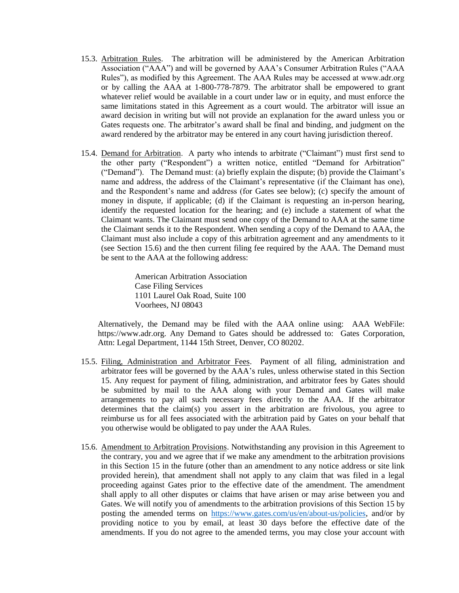- 15.3. Arbitration Rules. The arbitration will be administered by the American Arbitration Association ("AAA") and will be governed by AAA's Consumer Arbitration Rules ("AAA Rules"), as modified by this Agreement. The AAA Rules may be accessed at www.adr.org or by calling the AAA at 1-800-778-7879. The arbitrator shall be empowered to grant whatever relief would be available in a court under law or in equity, and must enforce the same limitations stated in this Agreement as a court would. The arbitrator will issue an award decision in writing but will not provide an explanation for the award unless you or Gates requests one. The arbitrator's award shall be final and binding, and judgment on the award rendered by the arbitrator may be entered in any court having jurisdiction thereof.
- 15.4. Demand for Arbitration. A party who intends to arbitrate ("Claimant") must first send to the other party ("Respondent") a written notice, entitled "Demand for Arbitration" ("Demand"). The Demand must: (a) briefly explain the dispute; (b) provide the Claimant's name and address, the address of the Claimant's representative (if the Claimant has one), and the Respondent's name and address (for Gates see below); (c) specify the amount of money in dispute, if applicable; (d) if the Claimant is requesting an in-person hearing, identify the requested location for the hearing; and (e) include a statement of what the Claimant wants. The Claimant must send one copy of the Demand to AAA at the same time the Claimant sends it to the Respondent. When sending a copy of the Demand to AAA, the Claimant must also include a copy of this arbitration agreement and any amendments to it (see Section [15.6\)](#page-6-0) and the then current filing fee required by the AAA. The Demand must be sent to the AAA at the following address:

American Arbitration Association Case Filing Services 1101 Laurel Oak Road, Suite 100 Voorhees, NJ 08043

Alternatively, the Demand may be filed with the AAA online using: AAA WebFile: https://www.adr.org. Any Demand to Gates should be addressed to: Gates Corporation, Attn: Legal Department, 1144 15th Street, Denver, CO 80202.

- 15.5. Filing, Administration and Arbitrator Fees. Payment of all filing, administration and arbitrator fees will be governed by the AAA's rules, unless otherwise stated in this Section [15.](#page-5-0) Any request for payment of filing, administration, and arbitrator fees by Gates should be submitted by mail to the AAA along with your Demand and Gates will make arrangements to pay all such necessary fees directly to the AAA. If the arbitrator determines that the claim(s) you assert in the arbitration are frivolous, you agree to reimburse us for all fees associated with the arbitration paid by Gates on your behalf that you otherwise would be obligated to pay under the AAA Rules.
- <span id="page-6-0"></span>15.6. Amendment to Arbitration Provisions. Notwithstanding any provision in this Agreement to the contrary, you and we agree that if we make any amendment to the arbitration provisions in this Section [15](#page-5-0) in the future (other than an amendment to any notice address or site link provided herein), that amendment shall not apply to any claim that was filed in a legal proceeding against Gates prior to the effective date of the amendment. The amendment shall apply to all other disputes or claims that have arisen or may arise between you and Gates. We will notify you of amendments to the arbitration provisions of this Section [15](#page-5-0) by posting the amended terms on [https://www.gates.com/us/en/about-us/policies,](https://www.gates.com/us/en/about-us/policies) and/or by providing notice to you by email, at least 30 days before the effective date of the amendments. If you do not agree to the amended terms, you may close your account with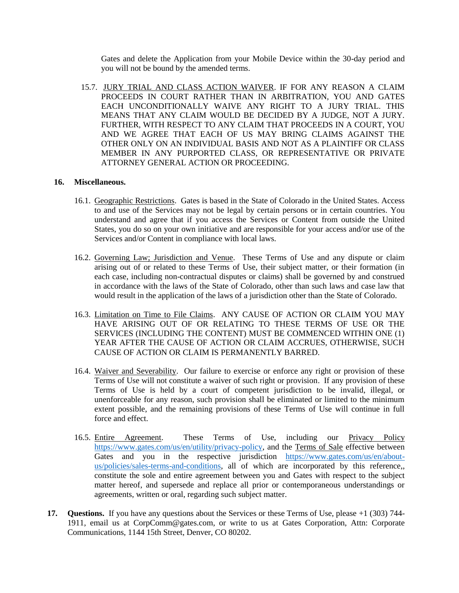Gates and delete the Application from your Mobile Device within the 30-day period and you will not be bound by the amended terms.

<span id="page-7-1"></span>15.7. JURY TRIAL AND CLASS ACTION WAIVER. IF FOR ANY REASON A CLAIM PROCEEDS IN COURT RATHER THAN IN ARBITRATION, YOU AND GATES EACH UNCONDITIONALLY WAIVE ANY RIGHT TO A JURY TRIAL. THIS MEANS THAT ANY CLAIM WOULD BE DECIDED BY A JUDGE, NOT A JURY. FURTHER, WITH RESPECT TO ANY CLAIM THAT PROCEEDS IN A COURT, YOU AND WE AGREE THAT EACH OF US MAY BRING CLAIMS AGAINST THE OTHER ONLY ON AN INDIVIDUAL BASIS AND NOT AS A PLAINTIFF OR CLASS MEMBER IN ANY PURPORTED CLASS, OR REPRESENTATIVE OR PRIVATE ATTORNEY GENERAL ACTION OR PROCEEDING.

#### **16. Miscellaneous.**

- 16.1. Geographic Restrictions. Gates is based in the State of Colorado in the United States. Access to and use of the Services may not be legal by certain persons or in certain countries. You understand and agree that if you access the Services or Content from outside the United States, you do so on your own initiative and are responsible for your access and/or use of the Services and/or Content in compliance with local laws.
- 16.2. Governing Law; Jurisdiction and Venue. These Terms of Use and any dispute or claim arising out of or related to these Terms of Use, their subject matter, or their formation (in each case, including non-contractual disputes or claims) shall be governed by and construed in accordance with the laws of the State of Colorado, other than such laws and case law that would result in the application of the laws of a jurisdiction other than the State of Colorado.
- 16.3. Limitation on Time to File Claims. ANY CAUSE OF ACTION OR CLAIM YOU MAY HAVE ARISING OUT OF OR RELATING TO THESE TERMS OF USE OR THE SERVICES (INCLUDING THE CONTENT) MUST BE COMMENCED WITHIN ONE (1) YEAR AFTER THE CAUSE OF ACTION OR CLAIM ACCRUES, OTHERWISE, SUCH CAUSE OF ACTION OR CLAIM IS PERMANENTLY BARRED.
- 16.4. Waiver and Severability. Our failure to exercise or enforce any right or provision of these Terms of Use will not constitute a waiver of such right or provision. If any provision of these Terms of Use is held by a court of competent jurisdiction to be invalid, illegal, or unenforceable for any reason, such provision shall be eliminated or limited to the minimum extent possible, and the remaining provisions of these Terms of Use will continue in full force and effect.
- 16.5. Entire Agreement. These Terms of Use, including our Privacy Policy [https://www.gates.com/us/en/utility/privacy-policy,](https://www.gates.com/us/en/utility/privacy-policy) and the Terms of Sale effective between Gates and you in the respective jurisdiction [https://www.gates.com/us/en/about](https://www.gates.com/us/en/about-us/policies/sales-terms-and-conditions)[us/policies/sales-terms-and-conditions,](https://www.gates.com/us/en/about-us/policies/sales-terms-and-conditions) all of which are incorporated by this reference,, constitute the sole and entire agreement between you and Gates with respect to the subject matter hereof, and supersede and replace all prior or contemporaneous understandings or agreements, written or oral, regarding such subject matter.
- <span id="page-7-0"></span>**17. Questions.** If you have any questions about the Services or these Terms of Use, please +1 (303) 744- 1911, email us at CorpComm@gates.com, or write to us at Gates Corporation, Attn: Corporate Communications, 1144 15th Street, Denver, CO 80202.